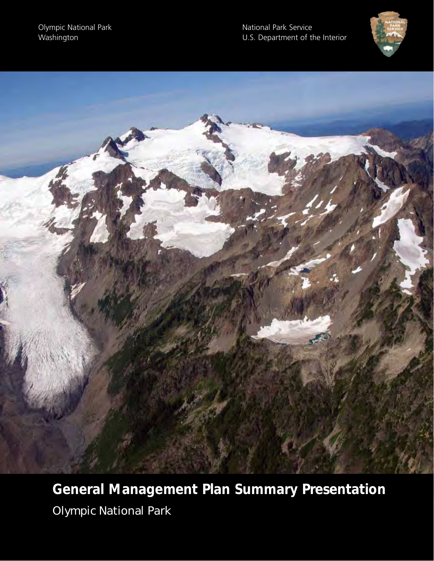National Park Service U.S. Department of the Interior





**General Management Plan Summary Presentation** Olympic National Park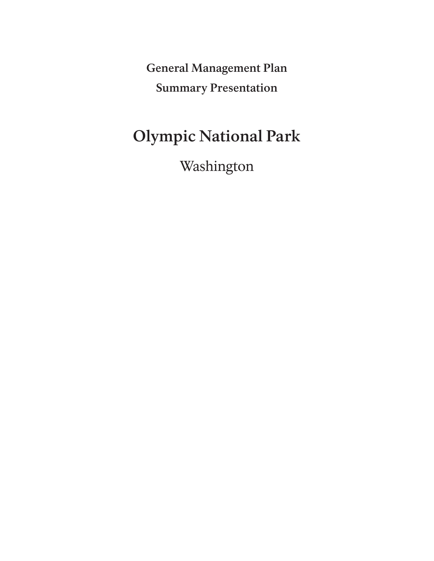**General Management Plan Summary Presentation**

# **Olympic National Park**

Washington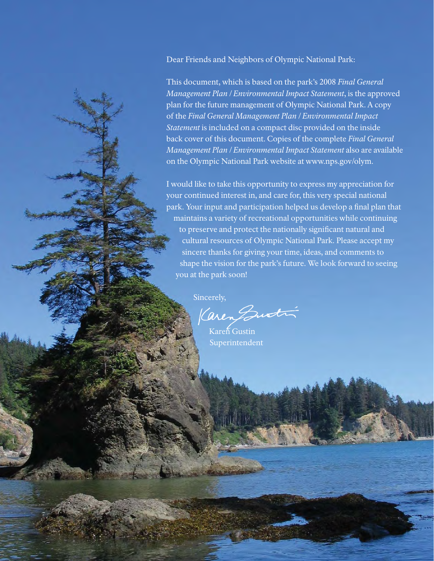Dear Friends and Neighbors of Olympic National Park:

This document, which is based on the park's 2008 *Final General Management Plan / Environmental Impact Statement*, is the approved plan for the future management of Olympic National Park. A copy of the *Final General Management Plan / Environmental Impact Statement* is included on a compact disc provided on the inside back cover of this document. Copies of the complete *Final General Management Plan / Environmental Impact Statement* also are available on the Olympic National Park website at www.nps.gov/olym.

I would like to take this opportunity to express my appreciation for your continued interest in, and care for, this very special national park. Your input and participation helped us develop a final plan that maintains a variety of recreational opportunities while continuing to preserve and protect the nationally significant natural and cultural resources of Olympic National Park. Please accept my sincere thanks for giving your time, ideas, and comments to shape the vision for the park's future. We look forward to seeing you at the park soon!

Sincerely,

Karen Gustin Superintendent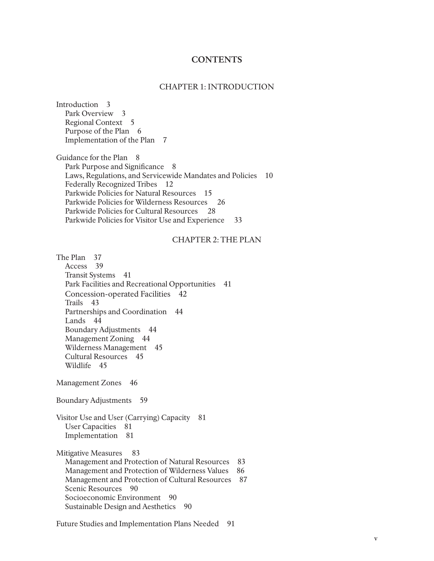## **CONTENTS**

### CHAPTER 1: INTRODUCTION

Introduction 3 Park Overview 3 Regional Context 5 Purpose of the Plan 6 Implementation of the Plan 7

Guidance for the Plan 8 Park Purpose and Significance 8 Laws, Regulations, and Servicewide Mandates and Policies 10 Federally Recognized Tribes 12 Parkwide Policies for Natural Resources 15 Parkwide Policies for Wilderness Resources 26 Parkwide Policies for Cultural Resources 28 Parkwide Policies for Visitor Use and Experience 33

#### CHAPTER 2: THE PLAN

The Plan 37 Access 39 Transit Systems 41 Park Facilities and Recreational Opportunities 41 Concession-operated Facilities 42 Trails 43 Partnerships and Coordination 44 Lands 44 Boundary Adjustments 44 Management Zoning 44 Wilderness Management 45 Cultural Resources 45 Wildlife 45 Management Zones 46 Boundary Adjustments 59 Visitor Use and User (Carrying) Capacity 81 User Capacities 81 Implementation 81 Mitigative Measures 83 Management and Protection of Natural Resources 83 Management and Protection of Wilderness Values 86 Management and Protection of Cultural Resources 87 Scenic Resources 90 Socioeconomic Environment 90 Sustainable Design and Aesthetics 90

Future Studies and Implementation Plans Needed 91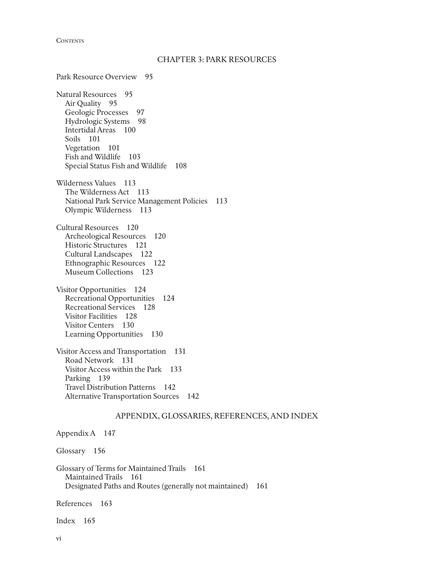**CONTENTS** 

#### CHAPTER 3: PARK RESOURCES

Park Resource Overview 95 Natural Resources 95 Air Quality 95 Geologic Processes 97 Hydrologic Systems 98 Intertidal Areas 100 Soils 101 Vegetation 101 Fish and Wildlife 103 Special Status Fish and Wildlife 108 Wilderness Values 113 The Wilderness Act 113 National Park Service Management Policies 113 Olympic Wilderness 113 Cultural Resources 120 Archeological Resources 120 Historic Structures 121 Cultural Landscapes 122 Ethnographic Resources 122 Museum Collections 123 Visitor Opportunities 124 Recreational Opportunities 124 Recreational Services 128 Visitor Facilities 128 Visitor Centers 130 Learning Opportunities 130 Visitor Access and Transportation 131 Road Network 131 Visitor Access within the Park 133 Parking 139 Travel Distribution Patterns 142 Alternative Transportation Sources 142 APPENDIX, GLOSSARIES, REFERENCES, AND INDEX Appendix A 147 Glossary 156 Glossary of Terms for Maintained Trails 161 Maintained Trails 161 Designated Paths and Routes (generally not maintained) 161 References 163